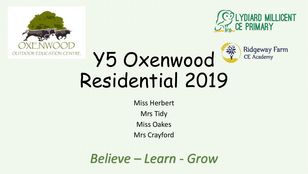

Ridgeway Farm<br>CE Academy



#### 美 Y5 Oxenwood Residential 2019

Miss Herbert Mrs Tidy Miss Oakes Mrs Crayford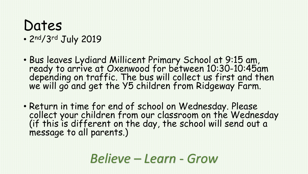# Dates

#### • 2nd/3rd July 2019

- Bus leaves Lydiard Millicent Primary School at 9:15 am, ready to arrive at Oxenwood for between 10:30-10:45am depending on traffic. The bus will collect us first and then we will go and get the Y5 children from Ridgeway Farm.
- Return in time for end of school on Wednesday. Please collect your children from our classroom on the Wednesday (if this is different on the day, the school will send out a message to all parents.)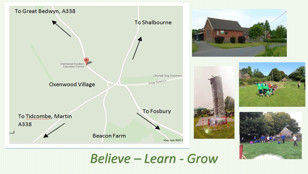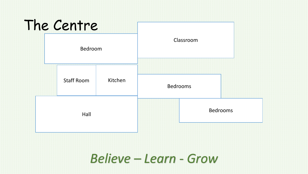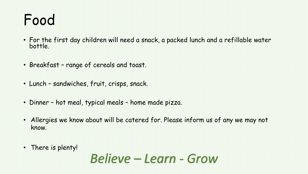## Food

- For the first day children will need a snack, a packed lunch and a refillable water bottle.
- Breakfast range of cereals and toast.
- Lunch sandwiches, fruit, crisps, snack.
- Dinner hot meal, typical meals home made pizza.
- Allergies we know about will be catered for. Please inform us of any we may not know.
- There is plenty!

*Believe – Learn - Grow*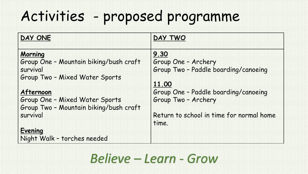## Activities - proposed programme

| DAY ONE                                | DAY TWO                                           |
|----------------------------------------|---------------------------------------------------|
| <b>Morning</b>                         | 9.30                                              |
| Group One - Mountain biking/bush craft | Group One - Archery                               |
| survival                               | Group Two - Paddle boarding/canoeing              |
| Group Two - Mixed Water Sports         |                                                   |
|                                        | 11.00                                             |
| Afternoon                              | Group One - Paddle boarding/canoeing              |
| Group One - Mixed Water Sports         | Group Two - Archery                               |
| Group Two - Mountain biking/bush craft |                                                   |
| survival                               | Return to school in time for normal home<br>time. |
| <b>Evening</b>                         |                                                   |
| Night Walk - torches needed            |                                                   |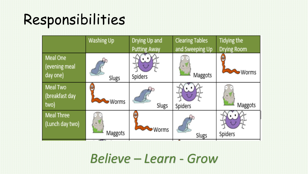#### Responsibilities

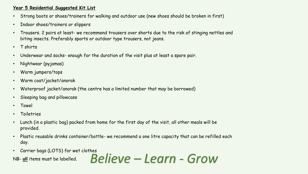#### **Year 5 Residential Suggested Kit List**

- Strong boots or shoes/trainers for walking and outdoor use (new shoes should be broken in first)
- Indoor shoes/trainers or slippers
- Trousers. 2 pairs at least- we recommend trousers over shorts due to the risk of stinging nettles and biting insects. Preferably sports or outdoor type trousers, not jeans.
- T shirts
- Underwear and socks- enough for the duration of the visit plus at least a spare pair.
- Nightwear (pyjamas)
- Warm jumpers/tops
- Warm coat/jacket/anorak
- Waterproof jacket/anorak (the centre has a limited number that may be borrowed)
- Sleeping bag and pillowcase
- Towel
- Toiletries
- Lunch (in a plastic bag) packed from home for the first day of the visit, all other meals will be provided.
- Plastic reusable drinks container/bottle- we recommend a one litre capacity that can be refilled each day.
- *Believe – Learn - Grow* • Carrier bags (LOTS) for wet clothes

NB- **all** items must be labelled.